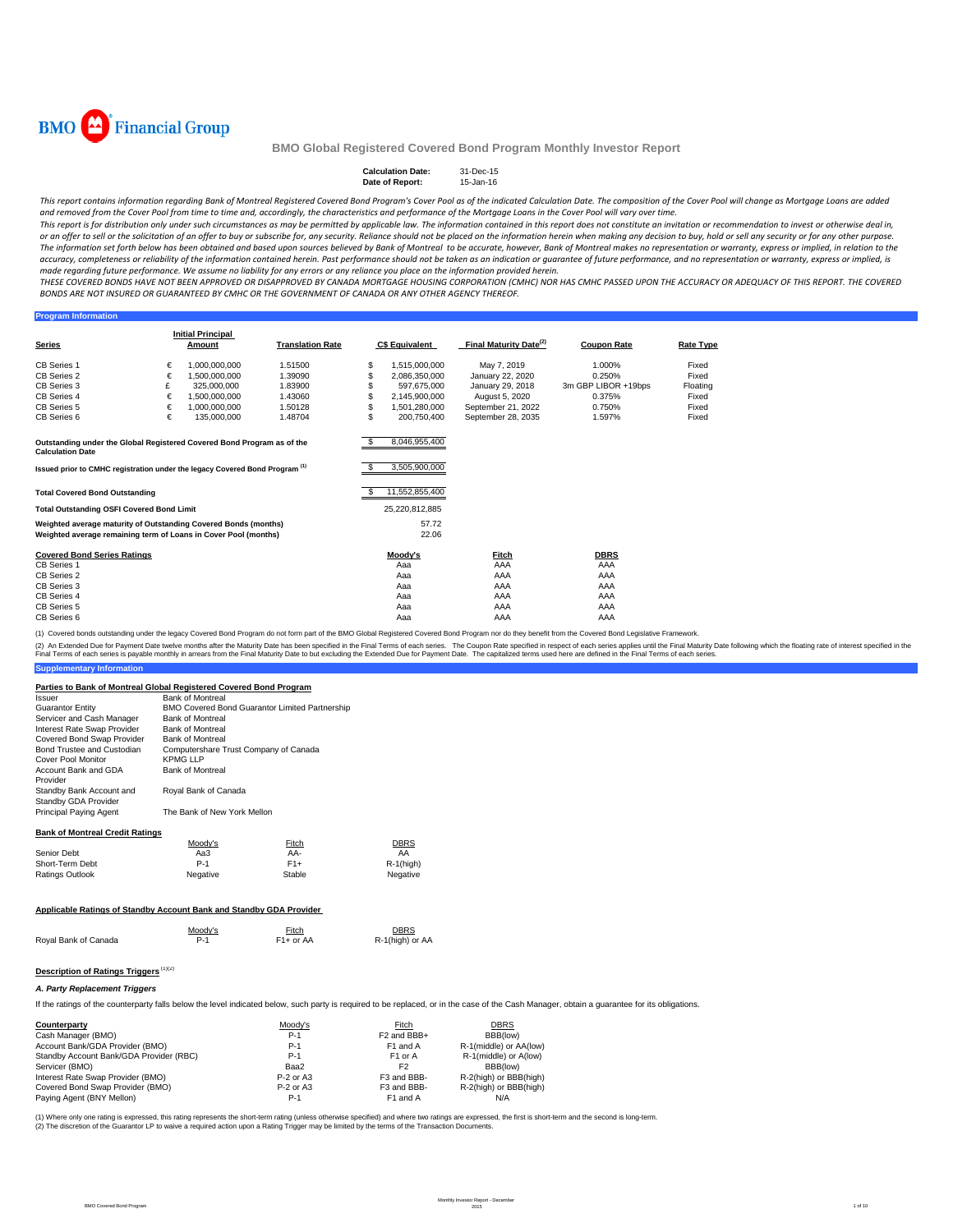

### **Calculation Date:** 31-Dec-15 **Date of Report:** 15-Jan-16

This report contains information regarding Bank of Montreal Registered Covered Bond Program's Cover Pool as of the indicated Calculation Date. The composition of the Cover Pool will change as Mortgage Loans are added and removed from the Cover Pool from time to time and, accordingly, the characteristics and performance of the Mortgage Loans in the Cover Pool will vary over time.

This report is for distribution only under such circumstances as may be permitted by applicable law. The information contained in this report does not constitute an invitation or recommendation to invest or otherwise deal or an offer to sell or the solicitation of an offer to buy or subscribe for, any security. Reliance should not be placed on the information herein when making any decision to buy, hold or sell any security or for any other The information set forth below has been obtained and based upon sources believed by Bank of Montreal to be accurate, however, Bank of Montreal makes no representation or warranty, express or implied, in relation to the accuracy, completeness or reliability of the information contained herein. Past performance should not be taken as an indication or guarantee of future performance, and no representation or warranty, express or implied, is made regarding future performance. We assume no liability for any errors or any reliance you place on the information provided herein.

THESE COVERED BONDS HAVE NOT BEEN APPROVED OR DISAPPROVED BY CANADA MORTGAGE HOUSING CORPORATION (CMHC) NOR HAS CMHC PASSED UPON THE ACCURACY OR ADFOUACY OF THIS REPORT. THE COVERED BONDS ARE NOT INSURED OR GUARANTEED BY CMHC OR THE GOVERNMENT OF CANADA OR ANY OTHER AGENCY THEREOF.

### **Program Information**

|                                                                                                   |   | <b>Initial Principal</b> |                         |    |                       |                                    |                     |                  |
|---------------------------------------------------------------------------------------------------|---|--------------------------|-------------------------|----|-----------------------|------------------------------------|---------------------|------------------|
| <b>Series</b>                                                                                     |   | Amount                   | <b>Translation Rate</b> |    | <b>C\$ Equivalent</b> | Final Maturity Date <sup>(2)</sup> | <b>Coupon Rate</b>  | <b>Rate Type</b> |
| <b>CB Series 1</b>                                                                                | € | 1.000.000.000            | 1.51500                 | \$ | 1.515.000.000         | May 7, 2019                        | 1.000%              | Fixed            |
| CB Series 2                                                                                       | € | 1.500.000.000            | 1.39090                 | S. | 2,086,350,000         | January 22, 2020                   | 0.250%              | Fixed            |
| CB Series 3                                                                                       | £ | 325.000.000              | 1.83900                 |    | 597.675.000           | January 29, 2018                   | 3m GBP LIBOR +19bps | Floating         |
| CB Series 4                                                                                       | € | 1.500.000.000            | 1.43060                 |    | 2,145,900,000         | August 5, 2020                     | 0.375%              | Fixed            |
| CB Series 5                                                                                       | € | 1.000.000.000            | 1.50128                 | \$ | 1.501.280.000         | September 21, 2022                 | 0.750%              | Fixed            |
| CB Series 6                                                                                       | € | 135,000,000              | 1.48704                 | Ś. | 200.750.400           | September 28, 2035                 | 1.597%              | Fixed            |
|                                                                                                   |   |                          |                         |    |                       |                                    |                     |                  |
|                                                                                                   |   |                          |                         |    |                       |                                    |                     |                  |
| Outstanding under the Global Registered Covered Bond Program as of the<br><b>Calculation Date</b> |   |                          |                         |    | 8,046,955,400         |                                    |                     |                  |
| Issued prior to CMHC registration under the legacy Covered Bond Program <sup>(1)</sup>            |   |                          |                         |    | 3,505,900,000         |                                    |                     |                  |
|                                                                                                   |   |                          |                         |    |                       |                                    |                     |                  |
| <b>Total Covered Bond Outstanding</b>                                                             |   |                          |                         |    | 11,552,855,400        |                                    |                     |                  |
| <b>Total Outstanding OSFI Covered Bond Limit</b>                                                  |   |                          |                         |    | 25,220,812,885        |                                    |                     |                  |
| Weighted average maturity of Outstanding Covered Bonds (months)                                   |   |                          |                         |    | 57.72                 |                                    |                     |                  |
| Weighted average remaining term of Loans in Cover Pool (months)                                   |   |                          |                         |    | 22.06                 |                                    |                     |                  |
| <b>Covered Bond Series Ratings</b>                                                                |   |                          |                         |    | Moody's               | Fitch                              | <b>DBRS</b>         |                  |
| <b>CB Series 1</b>                                                                                |   |                          |                         |    | Aaa                   | AAA                                | AAA                 |                  |
| CB Series 2                                                                                       |   |                          |                         |    | Aaa                   | AAA                                | AAA                 |                  |
| CB Series 3                                                                                       |   |                          |                         |    | Aaa                   | AAA                                | AAA                 |                  |
| CB Series 4                                                                                       |   |                          |                         |    | Aaa                   | AAA                                | AAA                 |                  |
| CB Series 5                                                                                       |   |                          |                         |    | Aaa                   | AAA                                | AAA                 |                  |
| CB Series 6                                                                                       |   |                          |                         |    | Aaa                   | AAA                                | AAA                 |                  |

(1) Covered bonds outstanding under the legacy Covered Bond Program do not form part of the BMO Global Registered Covered Bond Program nor do they benefit from the Covered Bond Legislative Framework.

**Supplementary Information** (2) An Extended Due for Payment Date twelve months after the Maturity Date has been specified in the Final Terms of each series. The Coupon Rate specified in the found help that a base to but excluding the Extended Due for

## **Parties to Bank of Montreal Global Registered Covered Bond Program**

| Issuer                                                              | <b>Bank of Montreal</b>               |                                                |                 |
|---------------------------------------------------------------------|---------------------------------------|------------------------------------------------|-----------------|
| <b>Guarantor Entity</b>                                             |                                       | BMO Covered Bond Guarantor Limited Partnership |                 |
| Servicer and Cash Manager                                           | <b>Bank of Montreal</b>               |                                                |                 |
| Interest Rate Swap Provider                                         | <b>Bank of Montreal</b>               |                                                |                 |
| Covered Bond Swap Provider                                          | <b>Bank of Montreal</b>               |                                                |                 |
| Bond Trustee and Custodian                                          | Computershare Trust Company of Canada |                                                |                 |
| Cover Pool Monitor                                                  | <b>KPMG LLP</b>                       |                                                |                 |
| Account Bank and GDA<br>Provider                                    | <b>Bank of Montreal</b>               |                                                |                 |
| Standby Bank Account and<br>Standby GDA Provider                    | Royal Bank of Canada                  |                                                |                 |
| Principal Paying Agent                                              | The Bank of New York Mellon           |                                                |                 |
| <b>Bank of Montreal Credit Ratings</b>                              |                                       |                                                |                 |
|                                                                     | Moody's                               | Fitch                                          | DBRS            |
| Senior Debt                                                         | Aa3                                   | AA-                                            | AA              |
| Short-Term Debt                                                     | $P-1$                                 | $F1+$                                          | $R-1$ (high)    |
| Ratings Outlook                                                     | Negative                              | Stable                                         | Negative        |
|                                                                     |                                       |                                                |                 |
| Applicable Ratings of Standby Account Bank and Standby GDA Provider |                                       |                                                |                 |
|                                                                     | Moody's                               | Fitch                                          | <b>DBRS</b>     |
| Royal Bank of Canada                                                | $P-1$                                 | $F1+$ or AA                                    | R-1(high) or AA |
|                                                                     |                                       |                                                |                 |

# **Description of Ratings Triggers** (1)(2)

## *A. Party Replacement Triggers*

If the ratings of the counterparty falls below the level indicated below, such party is required to be replaced, or in the case of the Cash Manager, obtain a guarantee for its obligations.

| Counterparty                            | Moody's     | Fitch                   | <b>DBRS</b>            |
|-----------------------------------------|-------------|-------------------------|------------------------|
| Cash Manager (BMO)                      | $P-1$       | F <sub>2</sub> and BBB+ | BBB(low)               |
| Account Bank/GDA Provider (BMO)         | $P-1$       | F1 and A                | R-1(middle) or AA(low) |
| Standby Account Bank/GDA Provider (RBC) | $P-1$       | F <sub>1</sub> or A     | R-1(middle) or A(low)  |
| Servicer (BMO)                          | Baa2        | F <sub>2</sub>          | BBB(low)               |
| Interest Rate Swap Provider (BMO)       | $P-2$ or A3 | F3 and BBB-             | R-2(high) or BBB(high) |
| Covered Bond Swap Provider (BMO)        | $P-2$ or A3 | F3 and BBB-             | R-2(high) or BBB(high) |
| Paying Agent (BNY Mellon)               | $P-1$       | F1 and A                | N/A                    |

(1) Where only one rating is expressed, this rating represents the short-term rating (unless otherwise specified) and where two ratings are expressed, the first is short-term and the second is long-term. (2) The discretion of the Guarantor LP to waive a required action upon a Rating Trigger may be limited by the terms of the Transaction Documents.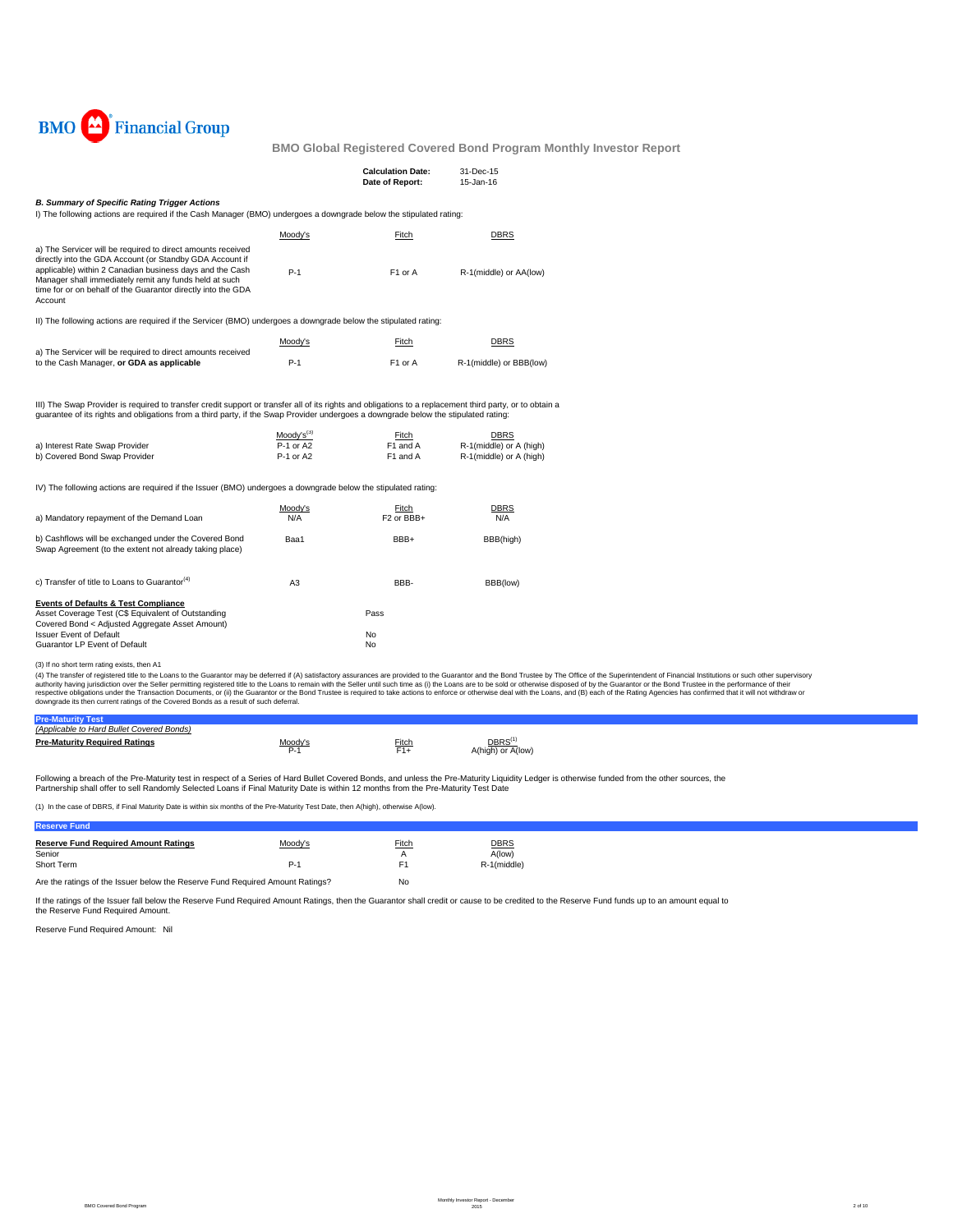

|                                                                                                                                                                                                                                                                                                                                                                    |                                          | <b>Calculation Date:</b><br>Date of Report: | 31-Dec-15<br>15-Jan-16                                            |
|--------------------------------------------------------------------------------------------------------------------------------------------------------------------------------------------------------------------------------------------------------------------------------------------------------------------------------------------------------------------|------------------------------------------|---------------------------------------------|-------------------------------------------------------------------|
| <b>B. Summary of Specific Rating Trigger Actions</b><br>I) The following actions are required if the Cash Manager (BMO) undergoes a downgrade below the stipulated rating:                                                                                                                                                                                         |                                          |                                             |                                                                   |
|                                                                                                                                                                                                                                                                                                                                                                    | Moody's                                  | Fitch                                       | <b>DBRS</b>                                                       |
| a) The Servicer will be required to direct amounts received<br>directly into the GDA Account (or Standby GDA Account if<br>applicable) within 2 Canadian business days and the Cash<br>Manager shall immediately remit any funds held at such<br>time for or on behalf of the Guarantor directly into the GDA<br>Account                                           | $P-1$                                    | F1 or A                                     | R-1(middle) or AA(low)                                            |
| II) The following actions are required if the Servicer (BMO) undergoes a downgrade below the stipulated rating:                                                                                                                                                                                                                                                    |                                          |                                             |                                                                   |
|                                                                                                                                                                                                                                                                                                                                                                    | Moody's                                  | Fitch                                       | <b>DBRS</b>                                                       |
| a) The Servicer will be required to direct amounts received<br>to the Cash Manager, or GDA as applicable                                                                                                                                                                                                                                                           | P-1                                      | F1 or A                                     | R-1(middle) or BBB(low)                                           |
| III) The Swap Provider is required to transfer credit support or transfer all of its rights and obligations to a replacement third party, or to obtain a<br>guarantee of its rights and obligations from a third party, if the Swap Provider undergoes a downgrade below the stipulated rating:<br>a) Interest Rate Swap Provider<br>b) Covered Bond Swap Provider | $Mody's^{(3)}$<br>P-1 or A2<br>P-1 or A2 | Fitch<br>F1 and A<br>F1 and A               | <b>DBRS</b><br>R-1(middle) or A (high)<br>R-1(middle) or A (high) |
| IV) The following actions are required if the Issuer (BMO) undergoes a downgrade below the stipulated rating:                                                                                                                                                                                                                                                      |                                          |                                             |                                                                   |
| a) Mandatory repayment of the Demand Loan                                                                                                                                                                                                                                                                                                                          | Moody's<br>N/A                           | Fitch<br>F <sub>2</sub> or BBB+             | <b>DBRS</b><br>N/A                                                |
| b) Cashflows will be exchanged under the Covered Bond<br>Swap Agreement (to the extent not already taking place)                                                                                                                                                                                                                                                   | Baa1                                     | BBB+                                        | BBB(high)                                                         |
| c) Transfer of title to Loans to Guarantor <sup>(4)</sup>                                                                                                                                                                                                                                                                                                          | A <sub>3</sub>                           | BBB-                                        | BBB(low)                                                          |
| <b>Events of Defaults &amp; Test Compliance</b><br>Asset Coverage Test (C\$ Equivalent of Outstanding<br>Covered Bond < Adjusted Aggregate Asset Amount)                                                                                                                                                                                                           |                                          | Pass                                        |                                                                   |
| <b>Issuer Event of Default</b>                                                                                                                                                                                                                                                                                                                                     |                                          | No                                          |                                                                   |

Guarantor LP Event of Default No. 2006. The Countries of the Countries of the Countries of No. 2006. No. 2007

(3) If no short term rating exists, then A1

(4) The transfer of registered title to the Loans to the Guarantor may be deferred if (A) satisfactory assurances are provided to the Guarantor and the Belle remains of profile to the Superintent of Financial Institutions

| <u>Moody's</u> | Fitch | DBRS <sup>(1)</sup> |
|----------------|-------|---------------------|
|                |       | A(high) or A(low)   |
|                |       |                     |
|                | P-1   | F1+                 |

Following a breach of the Pre-Maturity test in respect of a Series of Hard Bullet Covered Bonds, and unless the Pre-Maturity Liquidity Ledger is otherwise funded from the other sources, the<br>Partnership shall offer to sell

(1) In the case of DBRS, if Final Maturity Date is within six months of the Pre-Maturity Test Date, then A(high), otherwise A(low).

## **Reserve Fund**

| <b>Reserve Fund Required Amount Ratings</b><br>Senior<br>Short Term           | Moody's<br>P-1 | Fitch<br>А<br>E1 | <b>DBRS</b><br>A(low)<br>R-1(middle) |
|-------------------------------------------------------------------------------|----------------|------------------|--------------------------------------|
| Are the ratings of the Issuer below the Reserve Fund Required Amount Ratings? | No             |                  |                                      |

If the ratings of the Issuer fall below the Reserve Fund Required Amount Ratings, then the Guarantor shall credit or cause to be credited to the Reserve Fund funds up to an amount equal to the Reserve Fund Required Amount.

Reserve Fund Required Amount: Nil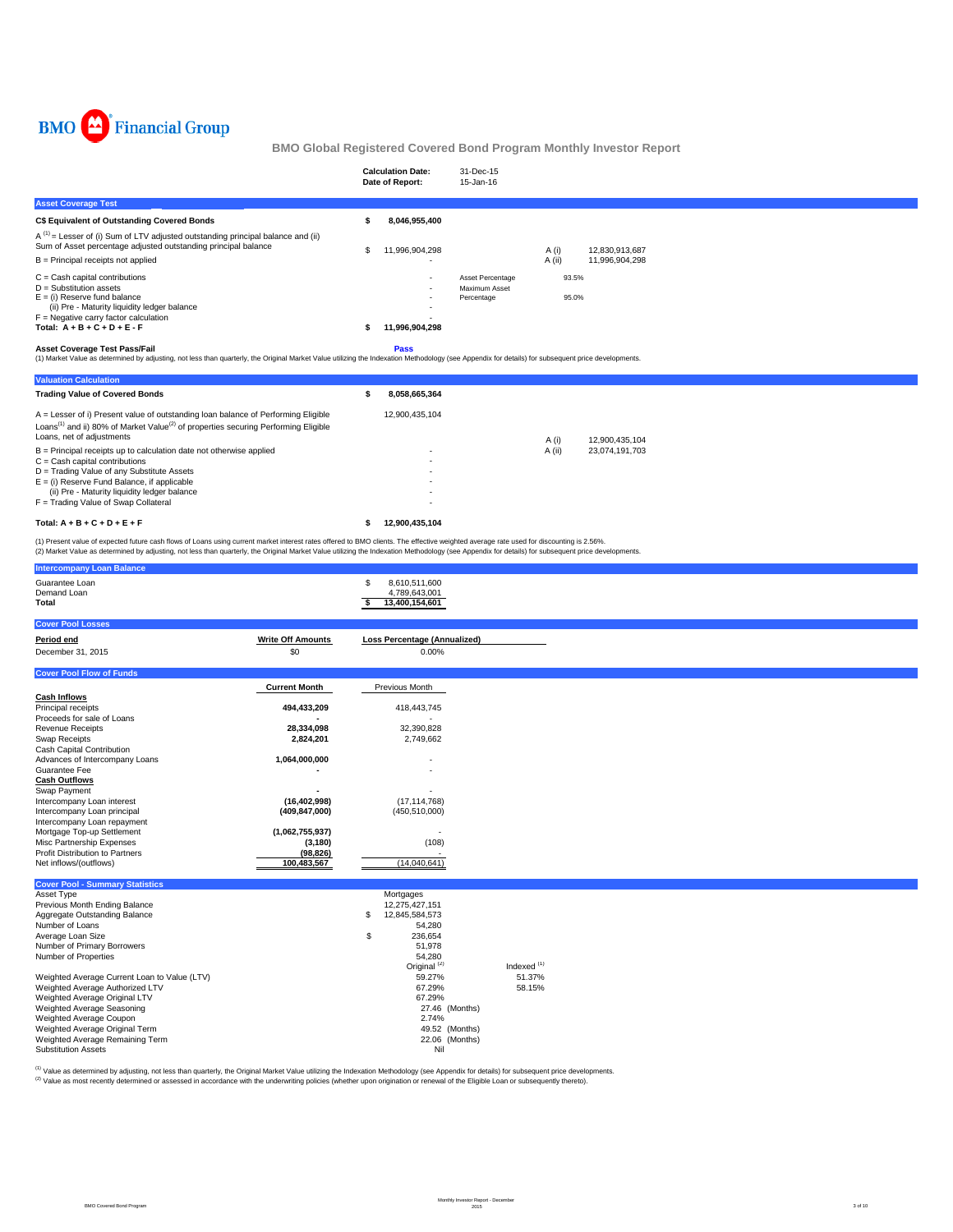

|                                                                                                                                                                                                                                                                                                | <b>Calculation Date:</b><br>Date of Report: | 31-Dec-15<br>15-Jan-16                          |                 |                                  |  |  |
|------------------------------------------------------------------------------------------------------------------------------------------------------------------------------------------------------------------------------------------------------------------------------------------------|---------------------------------------------|-------------------------------------------------|-----------------|----------------------------------|--|--|
| <b>Asset Coverage Test</b>                                                                                                                                                                                                                                                                     |                                             |                                                 |                 |                                  |  |  |
| C\$ Equivalent of Outstanding Covered Bonds                                                                                                                                                                                                                                                    | 8,046,955,400                               |                                                 |                 |                                  |  |  |
| $A^{(1)}$ = Lesser of (i) Sum of LTV adjusted outstanding principal balance and (ii)<br>Sum of Asset percentage adjusted outstanding principal balance<br>$B =$ Principal receipts not applied                                                                                                 | 11,996,904,298                              |                                                 | A (i)<br>A (ii) | 12,830,913,687<br>11,996,904,298 |  |  |
| $C =$ Cash capital contributions<br>$D =$ Substitution assets<br>$E = (i)$ Reserve fund balance<br>(ii) Pre - Maturity liquidity ledger balance<br>$F =$ Negative carry factor calculation<br>Total: $A + B + C + D + E - F$<br><b>Asset Coverage Test Pass/Fail</b>                           | 11,996,904,298<br>Pass                      | Asset Percentage<br>Maximum Asset<br>Percentage | 93.5%<br>95.0%  |                                  |  |  |
| (1) Market Value as determined by adjusting, not less than quarterly, the Original Market Value utilizing the Indexation Methodology (see Appendix for details) for subsequent price developments.<br><b>Valuation Calculation</b>                                                             |                                             |                                                 |                 |                                  |  |  |
| <b>Trading Value of Covered Bonds</b>                                                                                                                                                                                                                                                          | 8.058.665.364                               |                                                 |                 |                                  |  |  |
| A = Lesser of i) Present value of outstanding loan balance of Performing Eligible<br>Loans <sup>(1)</sup> and ii) 80% of Market Value <sup>(2)</sup> of properties securing Performing Eligible<br>Loans, net of adjustments                                                                   | 12,900,435,104                              |                                                 | A(i)            | 12,900,435,104                   |  |  |
| B = Principal receipts up to calculation date not otherwise applied<br>$C =$ Cash capital contributions<br>D = Trading Value of any Substitute Assets<br>$E = (i)$ Reserve Fund Balance, if applicable<br>(ii) Pre - Maturity liquidity ledger balance<br>F = Trading Value of Swap Collateral |                                             |                                                 | A (ii)          | 23,074,191,703                   |  |  |

Total:  $A + B + C + D + E + F$  \$ 12,900,435,104

(1) Present value of expected future cash flows of Loans using current market interest rates offered to BMO clients. The effective weighted average rate used for discounting is 2.56%.<br>(2) Market Value as determined by adju

| <b>Intercompany Loan Balance</b>                        |                          |                                                             |                        |  |  |
|---------------------------------------------------------|--------------------------|-------------------------------------------------------------|------------------------|--|--|
| Guarantee Loan<br>Demand Loan<br>Total                  |                          | \$<br>8,610,511,600<br>4,789,643,001<br>13,400,154,601<br>s |                        |  |  |
| <b>Cover Pool Losses</b>                                |                          |                                                             |                        |  |  |
| Period end                                              | <b>Write Off Amounts</b> | <b>Loss Percentage (Annualized)</b>                         |                        |  |  |
| December 31, 2015                                       | \$0                      | 0.00%                                                       |                        |  |  |
|                                                         |                          |                                                             |                        |  |  |
| <b>Cover Pool Flow of Funds</b>                         |                          |                                                             |                        |  |  |
|                                                         | <b>Current Month</b>     | Previous Month                                              |                        |  |  |
| <b>Cash Inflows</b>                                     |                          |                                                             |                        |  |  |
| Principal receipts                                      | 494,433,209              | 418,443,745                                                 |                        |  |  |
| Proceeds for sale of Loans<br><b>Revenue Receipts</b>   | 28,334,098               | 32,390,828                                                  |                        |  |  |
| Swap Receipts                                           | 2,824,201                | 2,749,662                                                   |                        |  |  |
| Cash Capital Contribution                               |                          |                                                             |                        |  |  |
| Advances of Intercompany Loans                          | 1,064,000,000            |                                                             |                        |  |  |
| Guarantee Fee                                           |                          |                                                             |                        |  |  |
| <b>Cash Outflows</b>                                    |                          |                                                             |                        |  |  |
| Swap Payment                                            |                          |                                                             |                        |  |  |
| Intercompany Loan interest                              | (16, 402, 998)           | (17, 114, 768)                                              |                        |  |  |
| Intercompany Loan principal                             | (409, 847, 000)          | (450, 510, 000)                                             |                        |  |  |
| Intercompany Loan repayment                             |                          |                                                             |                        |  |  |
| Mortgage Top-up Settlement<br>Misc Partnership Expenses | (1,062,755,937)          |                                                             |                        |  |  |
| <b>Profit Distribution to Partners</b>                  | (3, 180)<br>(98, 826)    | (108)                                                       |                        |  |  |
| Net inflows/(outflows)                                  | 100,483,567              | (14,040,641)                                                |                        |  |  |
|                                                         |                          |                                                             |                        |  |  |
| <b>Cover Pool - Summary Statistics</b>                  |                          |                                                             |                        |  |  |
| Asset Type                                              |                          | Mortgages                                                   |                        |  |  |
| Previous Month Ending Balance                           |                          | 12,275,427,151                                              |                        |  |  |
| Aggregate Outstanding Balance                           |                          | \$<br>12,845,584,573                                        |                        |  |  |
| Number of Loans<br>Average Loan Size                    |                          | 54,280<br>\$<br>236,654                                     |                        |  |  |
| Number of Primary Borrowers                             |                          | 51,978                                                      |                        |  |  |
| Number of Properties                                    |                          | 54,280                                                      |                        |  |  |
|                                                         |                          | Original <sup>(2)</sup>                                     | Indexed <sup>(1)</sup> |  |  |
| Weighted Average Current Loan to Value (LTV)            |                          | 59.27%                                                      | 51.37%                 |  |  |
| Weighted Average Authorized LTV                         |                          | 67.29%                                                      | 58.15%                 |  |  |
| Weighted Average Original LTV                           |                          | 67.29%                                                      |                        |  |  |
| Weighted Average Seasoning                              |                          | 27.46 (Months)                                              |                        |  |  |
| Weighted Average Coupon                                 |                          | 2.74%                                                       |                        |  |  |
| Weighted Average Original Term                          |                          | 49.52 (Months)                                              |                        |  |  |
| Weighted Average Remaining Term                         |                          | 22.06 (Months)                                              |                        |  |  |
| <b>Substitution Assets</b>                              |                          | Nil                                                         |                        |  |  |

<sup>(1)</sup> Value as determined by adjusting, not less than quarterly, the Original Market Value utilizing the Indexation Methodology (see Appendix for details) for subsequent price developments.<br><sup>(2)</sup> Value as most recently det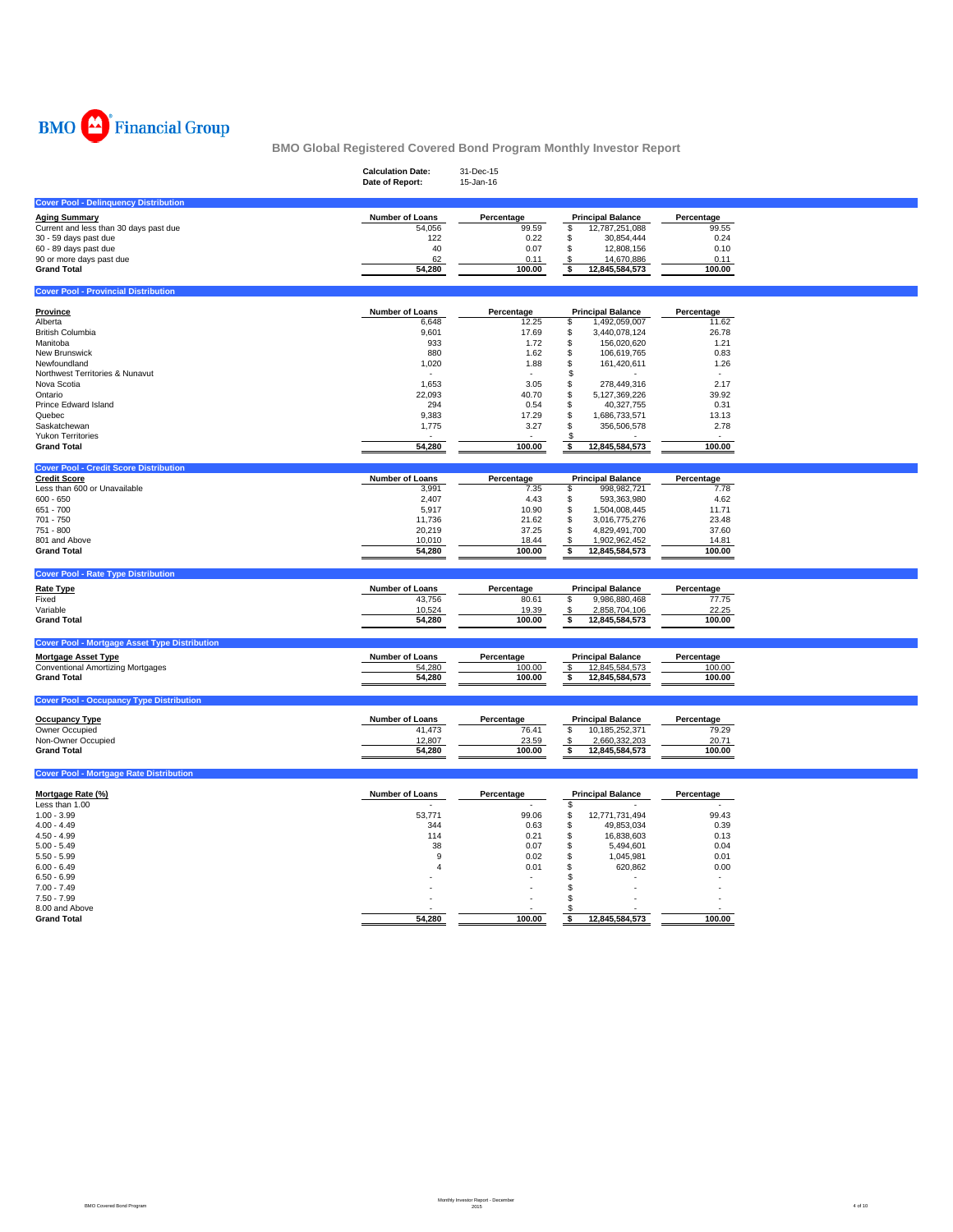

|                                                      | <b>Calculation Date:</b><br>Date of Report: | 31-Dec-15<br>15-Jan-16 |                          |            |
|------------------------------------------------------|---------------------------------------------|------------------------|--------------------------|------------|
| <b>Cover Pool - Delinquency Distribution</b>         |                                             |                        |                          |            |
| <b>Aging Summary</b>                                 | Number of Loans                             | Percentage             | <b>Principal Balance</b> | Percentage |
| Current and less than 30 days past due               | 54,056                                      | 99.59                  | 12,787,251,088<br>\$     | 99.55      |
| 30 - 59 days past due                                | 122                                         | 0.22                   | \$<br>30,854,444         | 0.24       |
| 60 - 89 days past due                                | 40                                          | 0.07                   | \$<br>12,808,156         | 0.10       |
| 90 or more days past due                             | 62                                          | 0.11                   | 14,670,886<br>\$         | 0.11       |
| <b>Grand Total</b>                                   | 54,280                                      | 100.00                 | \$<br>12,845,584,573     | 100.00     |
|                                                      |                                             |                        |                          |            |
| <b>Cover Pool - Provincial Distribution</b>          |                                             |                        |                          |            |
| <b>Province</b>                                      | Number of Loans                             | Percentage             | <b>Principal Balance</b> | Percentage |
| Alberta                                              | 6,648                                       | 12.25                  | \$<br>1,492,059,007      | 11.62      |
| <b>British Columbia</b>                              | 9,601                                       | 17.69                  | 3,440,078,124<br>\$      | 26.78      |
| Manitoba                                             | 933                                         | 1.72                   | \$<br>156,020,620        | 1.21       |
| New Brunswick                                        | 880                                         | 1.62                   | \$<br>106,619,765        | 0.83       |
| Newfoundland                                         | 1,020                                       | 1.88                   | \$<br>161,420,611        | 1.26       |
| Northwest Territories & Nunavut                      |                                             |                        | \$                       |            |
| Nova Scotia                                          | 1,653                                       | 3.05                   | 278,449,316<br>\$        | 2.17       |
| Ontario                                              | 22,093                                      | 40.70                  | 5,127,369,226<br>\$      | 39.92      |
| Prince Edward Island                                 | 294                                         | 0.54                   | \$<br>40,327,755         | 0.31       |
| Quebec                                               | 9,383                                       | 17.29                  | \$<br>1,686,733,571      | 13.13      |
| Saskatchewan                                         | 1,775                                       | 3.27                   | 356,506,578<br>\$        | 2.78       |
| <b>Yukon Territories</b>                             |                                             |                        |                          |            |
| <b>Grand Total</b>                                   | 54,280                                      | 100.00                 | 12,845,584,573<br>\$     | 100.00     |
| <b>Cover Pool - Credit Score Distribution</b>        |                                             |                        |                          |            |
| <b>Credit Score</b>                                  | <b>Number of Loans</b>                      | Percentage             | <b>Principal Balance</b> | Percentage |
| Less than 600 or Unavailable                         | 3,991                                       | 7.35                   | 998,982,721<br>\$        | 7.78       |
| $600 - 650$                                          | 2,407                                       | 4.43                   | \$<br>593,363,980        | 4.62       |
| 651 - 700                                            | 5,917                                       | 10.90                  | \$<br>1,504,008,445      | 11.71      |
| 701 - 750                                            | 11,736                                      | 21.62                  | \$<br>3,016,775,276      | 23.48      |
| 751 - 800                                            | 20,219                                      | 37.25                  | \$<br>4,829,491,700      | 37.60      |
| 801 and Above                                        | 10,010                                      | 18.44                  | 1,902,962,452<br>\$      | 14.81      |
| <b>Grand Total</b>                                   | 54,280                                      | 100.00                 | 12,845,584,573<br>\$     | 100.00     |
| <b>Cover Pool - Rate Type Distribution</b>           |                                             |                        |                          |            |
| <b>Rate Type</b>                                     | Number of Loans                             | Percentage             | <b>Principal Balance</b> | Percentage |
| Fixed                                                | 43,756                                      | 80.61                  | \$<br>9,986,880,468      | 77.75      |
| Variable                                             | 10,524                                      | 19.39                  | 2,858,704,106<br>- \$    | 22.25      |
| <b>Grand Total</b>                                   | 54,280                                      | 100.00                 | \$<br>12,845,584,573     | 100.00     |
|                                                      |                                             |                        |                          |            |
| <b>Cover Pool - Mortgage Asset Type Distribution</b> |                                             |                        |                          |            |
| <b>Mortgage Asset Type</b>                           | Number of Loans                             | Percentage             | <b>Principal Balance</b> | Percentage |
| Conventional Amortizing Mortgages                    | 54,280                                      | 100.00                 | \$<br>12,845,584,573     | 100.00     |
| <b>Grand Total</b>                                   | 54,280                                      | 100.00                 | 12,845,584,573<br>\$     | 100.00     |
| <b>Cover Pool - Occupancy Type Distribution</b>      |                                             |                        |                          |            |
|                                                      |                                             |                        |                          |            |
| <b>Occupancy Type</b>                                | <b>Number of Loans</b>                      | Percentage             | <b>Principal Balance</b> | Percentage |
| Owner Occupied                                       | 41,473                                      | 76.41                  | \$<br>10, 185, 252, 371  | 79.29      |
| Non-Owner Occupied                                   | 12,807                                      | 23.59                  | 2,660,332,203<br>\$      | 20.71      |
| <b>Grand Total</b>                                   | 54,280                                      | 100.00                 | 12,845,584,573<br>\$     | 100.00     |
| <b>Cover Pool - Mortgage Rate Distribution</b>       |                                             |                        |                          |            |
| Mortgage Rate (%)                                    | Number of Loans                             | Percentage             | <b>Principal Balance</b> | Percentage |
| Less than 1.00                                       |                                             |                        | \$                       |            |
| $1.00 - 3.99$                                        | 53,771                                      | 99.06                  | 12,771,731,494<br>\$     | 99.43      |
| $4.00 - 4.49$                                        | 344                                         | 0.63                   | \$<br>49,853,034         | 0.39       |
| $4.50 - 4.99$                                        | 114                                         | 0.21                   | \$<br>16,838,603         | 0.13       |
| $5.00 - 5.49$                                        | 38                                          | 0.07                   | \$<br>5,494,601          | 0.04       |
| $5.50 - 5.99$                                        | 9                                           | 0.02                   | \$<br>1,045,981          | 0.01       |
| $6.00 - 6.49$                                        | $\overline{4}$                              | 0.01                   | 620,862<br>S             | 0.00       |
| $6.50 - 6.99$                                        |                                             |                        | S.                       |            |
| $7.00 - 7.49$                                        |                                             |                        |                          |            |
| $7.50 - 7.99$                                        |                                             |                        |                          |            |
| 8.00 and Above                                       |                                             |                        |                          |            |
|                                                      |                                             |                        |                          |            |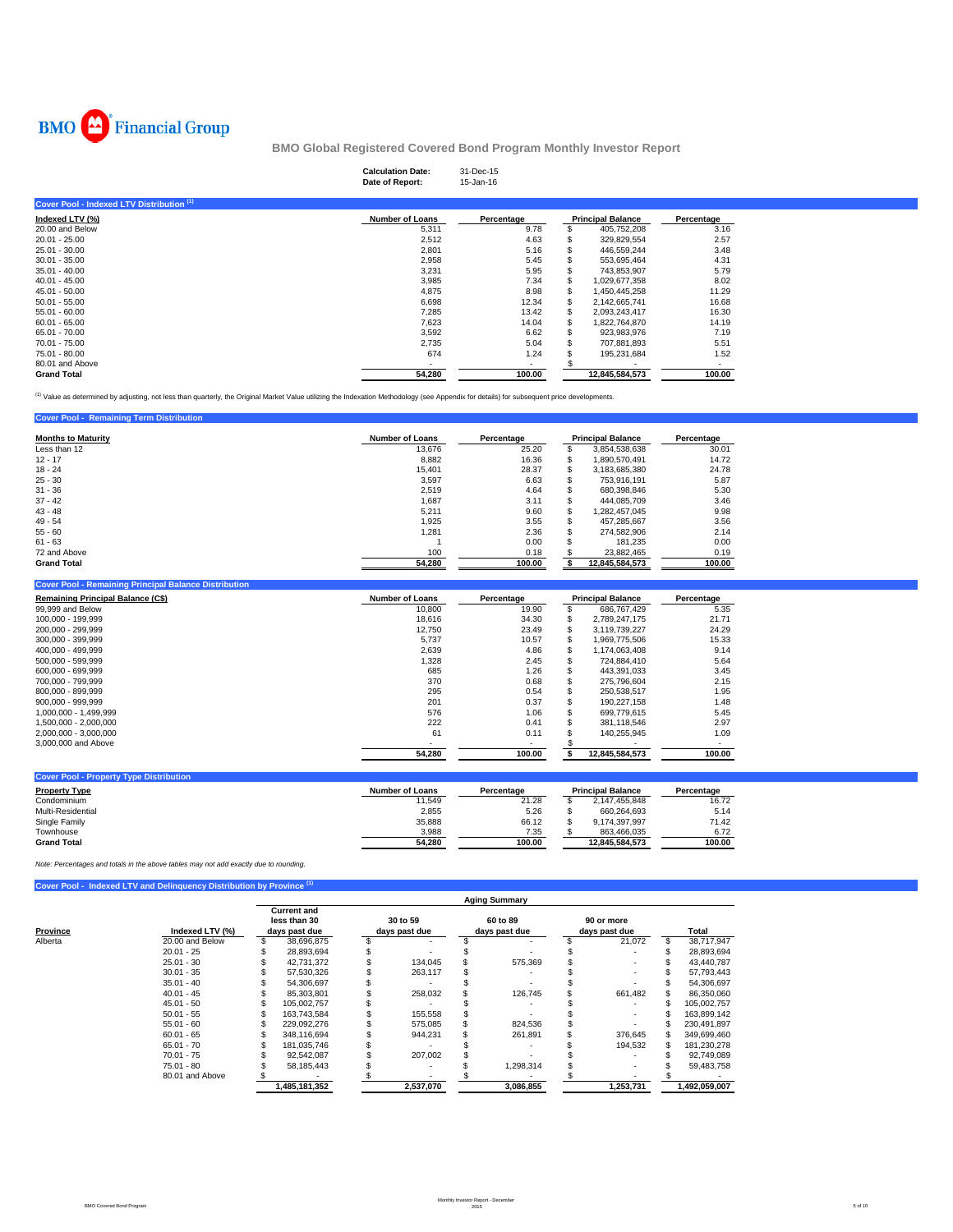

# **Calculation Date:** 31-Dec-15 **Date of Report:** 15-Jan-16

| Cover Pool - Indexed LTV Distribution (1) |                        |            |   |                          |            |
|-------------------------------------------|------------------------|------------|---|--------------------------|------------|
| Indexed LTV (%)                           | <b>Number of Loans</b> | Percentage |   | <b>Principal Balance</b> | Percentage |
| 20.00 and Below                           | 5,311                  | 9.78       |   | 405,752,208              | 3.16       |
| $20.01 - 25.00$                           | 2,512                  | 4.63       |   | 329.829.554              | 2.57       |
| $25.01 - 30.00$                           | 2,801                  | 5.16       |   | 446.559.244              | 3.48       |
| $30.01 - 35.00$                           | 2,958                  | 5.45       |   | 553.695.464              | 4.31       |
| $35.01 - 40.00$                           | 3,231                  | 5.95       |   | 743.853.907              | 5.79       |
| $40.01 - 45.00$                           | 3,985                  | 7.34       |   | 1.029.677.358            | 8.02       |
| $45.01 - 50.00$                           | 4,875                  | 8.98       |   | 1.450.445.258            | 11.29      |
| $50.01 - 55.00$                           | 6,698                  | 12.34      |   | 2.142.665.741            | 16.68      |
| $55.01 - 60.00$                           | 7,285                  | 13.42      |   | 2,093,243,417            | 16.30      |
| $60.01 - 65.00$                           | 7,623                  | 14.04      |   | 1,822,764,870            | 14.19      |
| 65.01 - 70.00                             | 3,592                  | 6.62       | S | 923.983.976              | 7.19       |
| 70.01 - 75.00                             | 2,735                  | 5.04       |   | 707.881.893              | 5.51       |
| 75.01 - 80.00                             | 674                    | 1.24       |   | 195,231,684              | 1.52       |
| 80.01 and Above                           |                        |            |   |                          | ۰          |
| <b>Grand Total</b>                        | 54,280                 | 100.00     |   | 12.845.584.573           | 100.00     |

<sup>(1)</sup> Value as determined by adjusting, not less than quarterly, the Original Market Value utilizing the Indexation Methodology (see Appendix for details) for subsequent price developments.

| <b>Cover Pool - Remaining Term Distribution</b> |                        |            |                          |            |
|-------------------------------------------------|------------------------|------------|--------------------------|------------|
| <b>Months to Maturity</b>                       | <b>Number of Loans</b> | Percentage | <b>Principal Balance</b> | Percentage |
| Less than 12                                    | 13.676                 | 25.20      | 3,854,538,638            | 30.01      |
| $12 - 17$                                       | 8.882                  | 16.36      | 1.890.570.491            | 14.72      |
| $18 - 24$                                       | 15.401                 | 28.37      | 3.183.685.380            | 24.78      |
| $25 - 30$                                       | 3.597                  | 6.63       | 753.916.191              | 5.87       |
| $31 - 36$                                       | 2.519                  | 4.64       | 680.398.846              | 5.30       |
| $37 - 42$                                       | 1,687                  | 3.11       | 444.085.709              | 3.46       |
| $43 - 48$                                       | 5,211                  | 9.60       | 1.282.457.045            | 9.98       |
| $49 - 54$                                       | 1.925                  | 3.55       | 457.285.667              | 3.56       |
| $55 - 60$                                       | 1,281                  | 2.36       | 274.582.906              | 2.14       |
| $61 - 63$                                       |                        | 0.00       | 181.235                  | 0.00       |
| 72 and Above                                    | 100                    | 0.18       | 23.882.465               | 0.19       |
| <b>Grand Total</b>                              | 54.280                 | 100.00     | 12.845.584.573           | 100.00     |

| <b>Number of Loans</b> | Percentage |   |                | Percentage               |
|------------------------|------------|---|----------------|--------------------------|
| 10.800                 | 19.90      |   | 686.767.429    | 5.35                     |
| 18,616                 | 34.30      |   | 2.789.247.175  | 21.71                    |
| 12.750                 | 23.49      | S | 3.119.739.227  | 24.29                    |
| 5.737                  | 10.57      |   | 1.969.775.506  | 15.33                    |
| 2,639                  | 4.86       |   | 1,174,063,408  | 9.14                     |
| 1,328                  | 2.45       |   | 724.884.410    | 5.64                     |
| 685                    | 1.26       |   | 443.391.033    | 3.45                     |
| 370                    | 0.68       |   | 275.796.604    | 2.15                     |
| 295                    | 0.54       |   | 250.538.517    | 1.95                     |
| 201                    | 0.37       |   | 190.227.158    | 1.48                     |
| 576                    | 1.06       |   | 699.779.615    | 5.45                     |
| 222                    | 0.41       |   | 381.118.546    | 2.97                     |
| 61                     | 0.11       |   | 140.255.945    | 1.09                     |
|                        |            |   |                |                          |
| 54,280                 | 100.00     |   | 12.845.584.573 | 100.00                   |
|                        |            |   |                | <b>Principal Balance</b> |

| <b>Cover Pool - Property Type Distribution</b> |                 |            |                          |            |
|------------------------------------------------|-----------------|------------|--------------------------|------------|
| <b>Property Type</b>                           | Number of Loans | Percentage | <b>Principal Balance</b> | Percentage |
| Condominium                                    | 11.549          | 21.28      | 2.147.455.848            | 16.72      |
| Multi-Residential                              | 2,855           | 5.26       | 660.264.693              | 5.14       |
| Single Family                                  | 35,888          | 66.12      | 9.174.397.997            | 71.42      |
| Townhouse                                      | 3,988           | 7.35       | 863.466.035              | 6.72       |
| <b>Grand Total</b>                             | 54,280          | 100.00     | 12.845.584.573           | 100.00     |

*Note: Percentages and totals in the above tables may not add exactly due to rounding.*

| Cover Pool - Indexed LTV and Delinquency Distribution by Province (1) |  |  |  |  |
|-----------------------------------------------------------------------|--|--|--|--|
|-----------------------------------------------------------------------|--|--|--|--|

|          |                 |                                                     |                           | <b>Aging Summary</b>      |                             |    |               |
|----------|-----------------|-----------------------------------------------------|---------------------------|---------------------------|-----------------------------|----|---------------|
| Province | Indexed LTV (%) | <b>Current and</b><br>less than 30<br>days past due | 30 to 59<br>days past due | 60 to 89<br>days past due | 90 or more<br>days past due |    | Total         |
| Alberta  | 20.00 and Below | 38,696,875                                          | ٠                         |                           | 21,072                      | £. | 38.717.947    |
|          | $20.01 - 25$    | 28.893.694                                          |                           |                           |                             |    | 28.893.694    |
|          | $25.01 - 30$    | 42.731.372                                          | 134.045                   | 575.369                   |                             |    | 43.440.787    |
|          | $30.01 - 35$    | 57,530,326                                          | 263,117                   |                           |                             |    | 57,793,443    |
|          | $35.01 - 40$    | 54,306,697                                          |                           |                           |                             |    | 54,306,697    |
|          | $40.01 - 45$    | 85.303.801                                          | 258.032                   | 126.745                   | 661,482                     |    | 86,350,060    |
|          | $45.01 - 50$    | 105.002.757                                         |                           |                           |                             |    | 105,002,757   |
|          | $50.01 - 55$    | 163.743.584                                         | 155.558                   |                           |                             |    | 163,899,142   |
|          | $55.01 - 60$    | 229.092.276                                         | 575.085                   | 824.536                   |                             |    | 230.491.897   |
|          | $60.01 - 65$    | 348.116.694                                         | 944.231                   | 261,891                   | 376.645                     |    | 349,699,460   |
|          | $65.01 - 70$    | 181.035.746                                         |                           |                           | 194,532                     |    | 181,230,278   |
|          | $70.01 - 75$    | 92.542.087                                          | 207.002                   |                           |                             |    | 92.749.089    |
|          | 75.01 - 80      | 58,185,443                                          |                           | 1,298,314                 |                             |    | 59,483,758    |
|          | 80.01 and Above |                                                     |                           |                           |                             |    |               |
|          |                 | 1,485,181,352                                       | 2,537,070                 | 3,086,855                 | 1,253,731                   |    | 1,492,059,007 |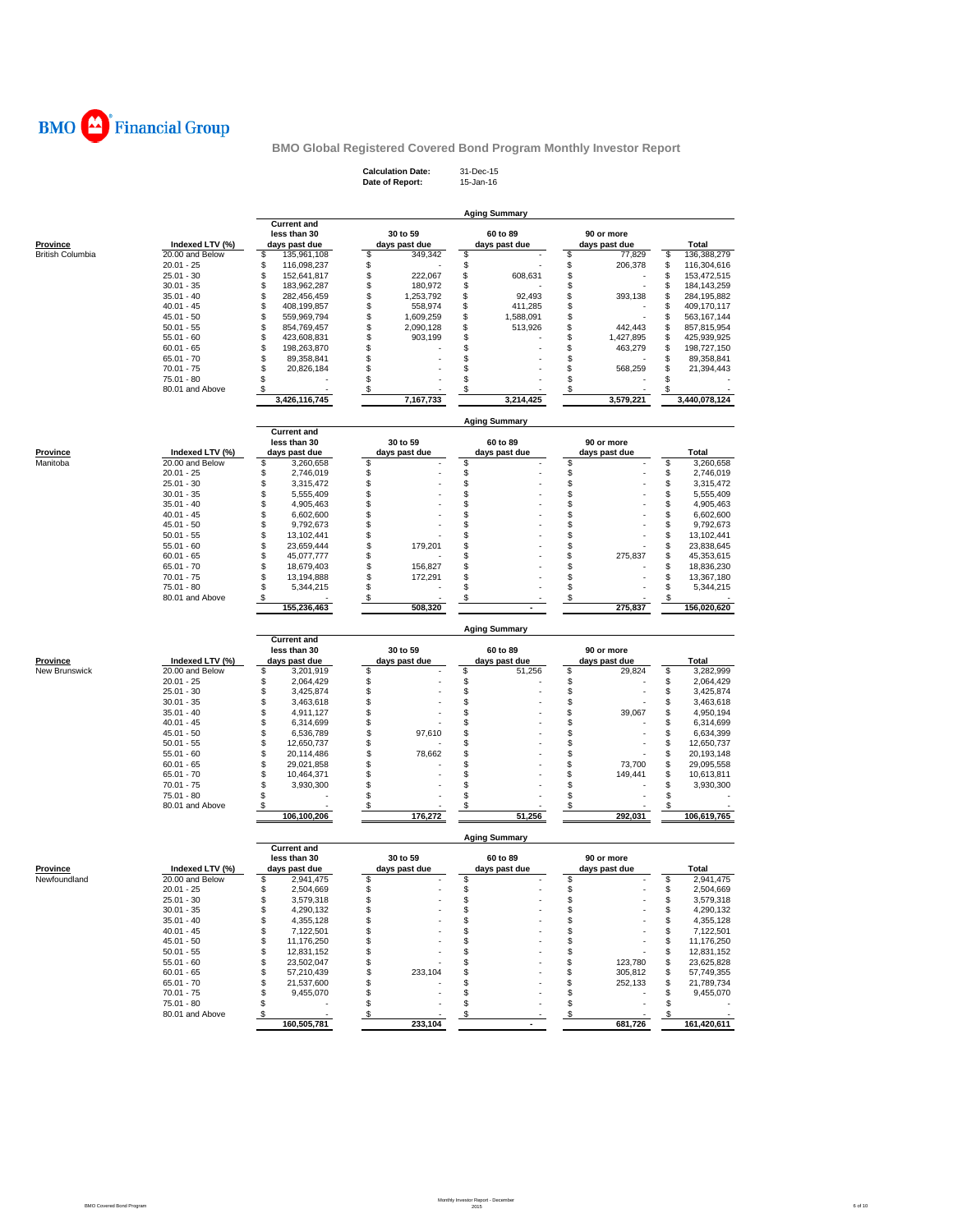

**Calculation Date:** 31-Dec-15 **Date of Report:** 15-Jan-16

|                         |                                 |                                        |                                      | <b>Aging Summary</b>    |                    |                                        |
|-------------------------|---------------------------------|----------------------------------------|--------------------------------------|-------------------------|--------------------|----------------------------------------|
|                         |                                 | <b>Current and</b><br>less than 30     | 30 to 59                             | 60 to 89                | 90 or more         |                                        |
| Province                | Indexed LTV (%)                 | days past due                          | days past due                        | days past due           | days past due      | Total                                  |
| <b>British Columbia</b> | 20.00 and Below                 | \$<br>135,961,108                      | \$<br>349,342                        | \$                      | \$<br>77,829       | \$<br>136,388,279                      |
|                         | $20.01 - 25$                    | S<br>116,098,237                       | \$                                   | \$                      | \$<br>206,378      | \$<br>116,304,616                      |
|                         | $25.01 - 30$                    | \$<br>152,641,817                      | \$<br>222,067                        | \$<br>608,631           | \$                 | \$<br>153,472,515                      |
|                         | $30.01 - 35$                    | \$<br>183,962,287                      | \$<br>180,972                        | \$                      | \$                 | \$<br>184, 143, 259                    |
|                         | $35.01 - 40$                    | \$<br>282,456,459                      | \$<br>1,253,792<br>558.974           | \$<br>92,493<br>411.285 | \$<br>393,138      | \$<br>284,195,882                      |
|                         | $40.01 - 45$<br>$45.01 - 50$    | \$<br>408,199,857<br>\$<br>559,969,794 | \$<br>\$<br>1,609,259                | \$<br>\$<br>1,588,091   | \$<br>\$           | \$<br>409,170,117<br>\$<br>563,167,144 |
|                         | $50.01 - 55$                    | \$<br>854,769,457                      | \$<br>2,090,128                      | \$<br>513,926           | \$<br>442,443      | \$<br>857,815,954                      |
|                         | $55.01 - 60$                    | \$<br>423,608,831                      | \$<br>903,199                        | \$                      | \$<br>1,427,895    | \$<br>425,939,925                      |
|                         | $60.01 - 65$                    | \$<br>198,263,870                      | \$                                   | \$                      | \$<br>463,279      | \$<br>198,727,150                      |
|                         | $65.01 - 70$                    | \$<br>89,358,841                       | \$                                   | \$                      | \$                 | \$<br>89,358,841                       |
|                         | $70.01 - 75$                    | \$<br>20,826,184                       | \$                                   | \$                      | \$<br>568,259      | \$<br>21,394,443                       |
|                         | 75.01 - 80                      | \$                                     | \$                                   | \$                      | \$                 | \$                                     |
|                         | 80.01 and Above                 | \$.<br>3,426,116,745                   | \$<br>7,167,733                      | \$<br>3,214,425         | \$<br>3,579,221    | S<br>3,440,078,124                     |
|                         |                                 |                                        |                                      |                         |                    |                                        |
|                         |                                 | <b>Current</b> and                     |                                      | <b>Aging Summary</b>    |                    |                                        |
|                         |                                 | less than 30                           | 30 to 59                             | 60 to 89                | 90 or more         |                                        |
| Province                | Indexed LTV (%)                 | days past due                          | days past due                        | days past due           | days past due      | <b>Total</b>                           |
| Manitoba                | 20.00 and Below                 | \$<br>3,260,658                        | \$                                   | \$                      | \$                 | \$<br>3,260,658                        |
|                         | $20.01 - 25$                    | \$<br>2,746,019                        | \$                                   | \$                      | \$                 | \$<br>2,746,019                        |
|                         | $25.01 - 30$                    | \$<br>3,315,472                        | \$                                   | \$                      | \$                 | \$<br>3,315,472                        |
|                         | $30.01 - 35$                    | \$<br>5,555,409<br>\$                  | \$<br>\$                             | \$<br>\$                | \$<br>\$           | \$<br>5,555,409<br>\$                  |
|                         | $35.01 - 40$<br>$40.01 - 45$    | 4,905,463<br>\$<br>6,602,600           | \$                                   | \$                      | \$                 | 4,905,463<br>\$<br>6,602,600           |
|                         | $45.01 - 50$                    | \$<br>9,792,673                        | \$                                   | \$                      | \$                 | \$<br>9,792,673                        |
|                         | $50.01 - 55$                    | \$<br>13,102,441                       | \$                                   | \$                      | \$                 | \$<br>13,102,441                       |
|                         | $55.01 - 60$                    | \$<br>23,659,444                       | \$<br>179,201                        | \$                      | \$                 | \$<br>23,838,645                       |
|                         | $60.01 - 65$                    | \$<br>45,077,777                       | \$                                   | \$                      | \$<br>275,837      | \$<br>45,353,615                       |
|                         | $65.01 - 70$                    | \$<br>18,679,403                       | \$<br>156,827                        | \$                      | \$                 | \$<br>18,836,230                       |
|                         | $70.01 - 75$                    | \$<br>13,194,888                       | \$<br>172,291                        | \$                      | \$                 | \$<br>13,367,180                       |
|                         | 75.01 - 80                      | \$<br>5,344,215                        | \$                                   | \$                      | \$                 | \$<br>5,344,215                        |
|                         | 80.01 and Above                 | \$<br>155,236,463                      | \$<br>508,320                        | \$                      | \$<br>275,837      | \$<br>156,020,620                      |
|                         |                                 |                                        |                                      |                         |                    |                                        |
|                         |                                 | <b>Current and</b>                     |                                      | <b>Aging Summary</b>    |                    |                                        |
|                         |                                 | less than 30                           | 30 to 59                             | 60 to 89                | 90 or more         |                                        |
| <b>Province</b>         | Indexed LTV (%)                 | days past due                          | days past due                        | days past due           | days past due      | Total                                  |
| New Brunswick           | 20.00 and Below<br>$20.01 - 25$ | \$<br>3,201,919                        | \$                                   | \$<br>51,256<br>\$      | \$<br>29,824<br>\$ | \$<br>3,282,999<br>\$                  |
|                         | $25.01 - 30$                    | \$<br>2,064,429<br>\$<br>3,425,874     | \$<br>\$                             | \$                      | \$                 | 2,064,429<br>\$<br>3,425,874           |
|                         | $30.01 - 35$                    | \$<br>3,463,618                        | \$                                   | \$                      | \$                 | \$<br>3,463,618                        |
|                         | $35.01 - 40$                    | \$<br>4,911,127                        | \$                                   | \$                      | \$<br>39,067       | \$<br>4,950,194                        |
|                         | $40.01 - 45$                    | \$<br>6,314,699                        | \$                                   | \$                      | \$                 | \$<br>6,314,699                        |
|                         | $45.01 - 50$                    | \$<br>6,536,789                        | \$<br>97,610                         | \$                      | \$                 | \$<br>6,634,399                        |
|                         | $50.01 - 55$                    | \$<br>12,650,737                       | \$                                   | \$                      | \$                 | \$<br>12,650,737                       |
|                         | $55.01 - 60$                    | \$<br>20,114,486                       | \$<br>78,662                         | \$                      | \$                 | \$<br>20,193,148                       |
|                         | $60.01 - 65$                    | \$<br>29,021,858                       | \$                                   | \$                      | \$<br>73,700       | \$<br>29,095,558                       |
|                         | $65.01 - 70$                    | \$<br>10,464,371                       | \$                                   | \$                      | \$<br>149,441      | \$<br>10,613,811                       |
|                         | $70.01 - 75$<br>75.01 - 80      | \$<br>3,930,300<br>\$                  | \$<br>\$                             | \$<br>\$                | \$<br>\$           | \$<br>3,930,300<br>\$                  |
|                         | 80.01 and Above                 | \$                                     | \$                                   | \$                      | \$                 | \$                                     |
|                         |                                 | 106,100,206                            | 176,272                              | 51,256                  | 292,031            | 106,619,765                            |
|                         |                                 |                                        |                                      |                         |                    |                                        |
|                         |                                 | <b>Current and</b><br>less than 30     | 30 to 59                             | 60 to 89                | 90 or more         |                                        |
| Province                | Indexed LTV (%)                 | days past due                          | days past due                        | days past due           | days past due      | Total                                  |
| Newfoundland            | 20.00 and Below                 | \$<br>2,941,475                        | \$                                   | \$                      | \$                 | \$<br>2,941,475                        |
|                         | $20.01 - 25$                    | \$<br>2,504,669                        | \$                                   | \$                      | \$                 | \$<br>2,504,669                        |
|                         | 25.01 - 30                      | 3,579,318                              | ৬                                    |                         |                    | ১<br>3,579,318                         |
|                         | $30.01 - 35$                    | \$<br>4,290,132                        | \$                                   | \$                      | \$                 | \$<br>4,290,132                        |
|                         | $35.01 - 40$<br>$40.01 - 45$    | \$<br>4,355,128                        | \$                                   | \$                      | \$                 | \$<br>4,355,128                        |
|                         | $45.01 - 50$                    | 7,122,501<br>\$<br>\$<br>11,176,250    | \$<br>\$                             | \$<br>\$                | \$<br>\$           | 7,122,501<br>\$<br>\$<br>11,176,250    |
|                         | $50.01 - 55$                    | 12,831,152<br>\$                       | \$                                   | \$                      | \$                 | 12,831,152<br>\$                       |
|                         | $55.01 - 60$                    | \$<br>23,502,047                       | \$                                   | \$                      | \$<br>123,780      | \$<br>23,625,828                       |
|                         | $60.01 - 65$                    | 57,210,439<br>\$                       | \$<br>233,104                        | \$                      | \$<br>305,812      | 57,749,355<br>\$                       |
|                         | $65.01 - 70$                    | 21,537,600<br>\$                       | \$                                   | \$                      | \$<br>252,133      | \$<br>21,789,734                       |
|                         | $70.01 - 75$                    | \$<br>9,455,070                        | \$                                   | \$                      | \$                 | 9,455,070<br>\$                        |
|                         | $75.01 - 80$                    | \$                                     | \$                                   | \$                      | \$                 | \$                                     |
|                         | 80.01 and Above                 | \$<br>160,505,781                      | $\boldsymbol{\mathsf{s}}$<br>233,104 | \$                      | \$<br>681,726      | \$<br>161,420,611                      |
|                         |                                 |                                        |                                      |                         |                    |                                        |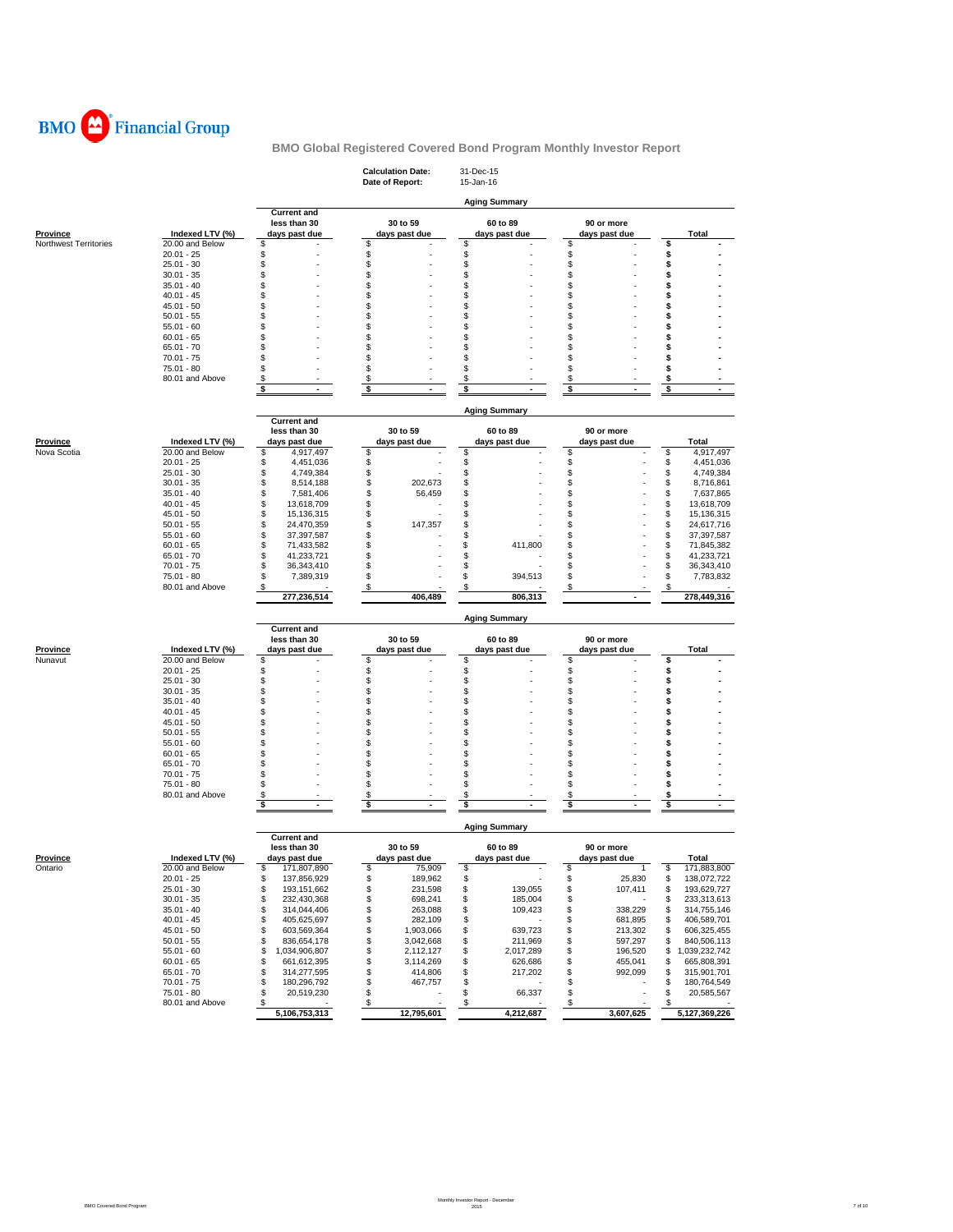

|                       |                               |                                            | <b>Calculation Date:</b><br>Date of Report: | 31-Dec-15<br>15-Jan-16    |                                |                                       |
|-----------------------|-------------------------------|--------------------------------------------|---------------------------------------------|---------------------------|--------------------------------|---------------------------------------|
|                       |                               | <b>Current and</b>                         |                                             | <b>Aging Summary</b>      |                                |                                       |
| <b>Province</b>       | Indexed LTV (%)               | less than 30<br>days past due              | 30 to 59<br>days past due                   | 60 to 89<br>days past due | 90 or more<br>days past due    | Total                                 |
| Northwest Territories | 20.00 and Below               | S                                          | \$                                          | \$                        | \$                             | \$                                    |
|                       | $20.01 - 25$                  | S                                          | \$                                          | \$                        | \$                             | \$                                    |
|                       | $25.01 - 30$                  | S                                          | \$                                          | \$                        | \$                             | \$                                    |
|                       | $30.01 - 35$                  | S                                          | \$                                          | \$                        | \$                             | \$                                    |
|                       | $35.01 - 40$<br>$40.01 - 45$  | S<br>S                                     | \$<br>\$                                    | \$<br>\$                  | \$<br>\$                       | \$<br>\$                              |
|                       | $45.01 - 50$                  | S                                          | \$                                          | \$                        | \$                             | \$                                    |
|                       | $50.01 - 55$                  | S                                          | \$                                          | S                         | \$                             | s                                     |
|                       | $55.01 - 60$                  | S                                          | \$                                          | \$                        | \$                             | \$                                    |
|                       | $60.01 - 65$                  | S                                          | \$                                          | \$                        | \$                             | \$                                    |
|                       | $65.01 - 70$                  | S                                          | \$                                          | \$                        | \$                             | s                                     |
|                       | $70.01 - 75$<br>75.01 - 80    | S<br>S                                     | \$<br>\$                                    | \$<br>S                   | \$<br>\$                       | S<br>s                                |
|                       | 80.01 and Above               | \$                                         | \$                                          | \$                        | \$                             | \$                                    |
|                       |                               | \$                                         | \$                                          | \$                        | \$                             | \$                                    |
|                       |                               |                                            |                                             | <b>Aging Summary</b>      |                                |                                       |
|                       |                               | <b>Current and</b>                         |                                             |                           |                                |                                       |
|                       |                               | less than 30                               | 30 to 59                                    | 60 to 89                  | 90 or more                     |                                       |
| Province              | Indexed LTV (%)               | days past due                              | days past due                               | days past due             | days past due                  | Total                                 |
| Nova Scotia           | 20.00 and Below               | 4,917,497<br>\$                            | \$                                          | \$                        | \$                             | \$<br>4,917,497                       |
|                       | $20.01 - 25$                  | \$<br>4,451,036                            | \$                                          | \$                        | \$                             | \$<br>4,451,036                       |
|                       | $25.01 - 30$<br>$30.01 - 35$  | \$<br>4,749,384<br>\$<br>8,514,188         | \$<br>\$<br>202,673                         | \$<br>\$                  | \$<br>\$                       | \$<br>4,749,384<br>\$<br>8,716,861    |
|                       | $35.01 - 40$                  | \$<br>7,581,406                            | \$<br>56,459                                | \$                        | \$                             | \$<br>7,637,865                       |
|                       | $40.01 - 45$                  | \$<br>13,618,709                           | \$                                          | \$                        | \$                             | \$<br>13,618,709                      |
|                       | $45.01 - 50$                  | \$<br>15,136,315                           | \$                                          | \$                        | \$                             | \$<br>15,136,315                      |
|                       | $50.01 - 55$                  | 24,470,359<br>\$                           | \$<br>147,357                               | \$                        | \$                             | \$<br>24,617,716                      |
|                       | $55.01 - 60$                  | \$<br>37,397,587                           | \$                                          | \$                        | \$                             | S<br>37,397,587                       |
|                       | $60.01 - 65$                  | \$<br>71,433,582                           | \$                                          | \$<br>411,800             | \$                             | S<br>71,845,382                       |
|                       | $65.01 - 70$<br>$70.01 - 75$  | \$<br>41,233,721<br>\$<br>36,343,410       | \$<br>\$                                    | \$<br>\$                  | \$<br>\$                       | S<br>41,233,721<br>S<br>36,343,410    |
|                       | 75.01 - 80                    | \$<br>7,389,319                            | \$                                          | \$<br>394,513             | \$                             | 7,783,832<br>S                        |
|                       | 80.01 and Above               | \$                                         | \$                                          | \$                        | \$                             | \$                                    |
|                       |                               | 277,236,514                                | 406,489                                     | 806,313                   |                                | 278,449,316                           |
|                       |                               |                                            |                                             | <b>Aging Summary</b>      |                                |                                       |
|                       |                               | <b>Current and</b><br>less than 30         | 30 to 59                                    | 60 to 89                  | 90 or more                     |                                       |
| <b>Province</b>       | Indexed LTV (%)               | days past due                              | days past due                               | days past due             | days past due                  | Total                                 |
| Nunavut               | 20.00 and Below               | S                                          | \$                                          | \$                        | \$                             | \$                                    |
|                       | $20.01 - 25$                  | S                                          | \$                                          | \$                        | \$                             | \$                                    |
|                       | $25.01 - 30$                  | S                                          | \$                                          | \$                        | \$                             | \$                                    |
|                       | $30.01 - 35$<br>$35.01 - 40$  | S<br>S                                     | \$<br>\$                                    | \$<br>\$                  | \$<br>\$                       | \$<br>\$                              |
|                       | $40.01 - 45$                  | S                                          | \$                                          | \$                        | \$                             | \$                                    |
|                       | $45.01 - 50$                  | S                                          | \$                                          | S                         | \$                             | s                                     |
|                       | $50.01 - 55$                  | S                                          | \$                                          | \$                        | \$                             | \$                                    |
|                       | $55.01 - 60$                  | S                                          | \$                                          | \$                        | \$                             | \$                                    |
|                       | $60.01 - 65$                  | S                                          | \$                                          | \$                        | \$                             | \$                                    |
|                       | $65.01 - 70$                  | S<br>S                                     | \$<br>\$                                    | \$<br>S                   | \$                             | s                                     |
|                       | $70.01 - 75$<br>75.01 - 80    | S                                          | \$                                          | \$                        | \$<br>\$                       | \$<br>\$                              |
|                       | 80.01 and Above               | \$                                         | \$                                          | \$                        | \$                             | \$                                    |
|                       |                               | \$<br>ä,                                   | \$<br>÷.                                    | \$                        | \$                             | \$                                    |
|                       |                               |                                            |                                             | <b>Aging Summary</b>      |                                |                                       |
|                       |                               | <b>Current and</b><br>less than 30         | 30 to 59                                    | 60 to 89                  | 90 or more                     |                                       |
| <b>Province</b>       | Indexed LTV (%)               | days past due                              | days past due                               | days past due             | days past due                  | <b>Total</b>                          |
| Ontario               | 20.00 and Below               | \$<br>171,807,890                          | \$<br>75,909                                | \$                        | \$<br>-1                       | \$<br>171,883,800                     |
|                       | $20.01 - 25$                  | 137,856,929<br>\$                          | \$<br>189,962                               | \$                        | \$<br>25,830                   | \$<br>138,072,722                     |
|                       | $25.01 - 30$                  | \$<br>193, 151, 662                        | \$<br>231,598                               | \$<br>139,055             | 107,411<br>\$                  | 193,629,727<br>\$                     |
|                       | $30.01 - 35$                  | \$<br>232,430,368                          | \$<br>698,241                               | 185,004<br>\$             | \$                             | \$<br>233,313,613                     |
|                       | $35.01 - 40$                  | \$<br>314,044,406                          | \$<br>263,088                               | \$<br>109,423             | \$<br>338,229                  | 314,755,146<br>\$                     |
|                       | $40.01 - 45$<br>$45.01 - 50$  | \$<br>405,625,697<br>\$<br>603,569,364     | \$<br>282,109<br>\$<br>1,903,066            | \$<br>639,723<br>\$       | \$<br>681,895<br>\$<br>213,302 | \$<br>406,589,701<br>606,325,455<br>s |
|                       | $50.01 - 55$                  | \$<br>836,654,178                          | \$<br>3,042,668                             | 211,969<br>\$             | \$<br>597,297                  | 840,506,113<br>\$                     |
|                       | $55.01 - 60$                  | \$<br>1,034,906,807                        | \$<br>2,112,127                             | \$<br>2,017,289           | \$<br>196,520                  | \$<br>1,039,232,742                   |
|                       |                               |                                            | \$<br>3,114,269                             | \$<br>626,686             | \$<br>455,041                  | 665,808,391<br>\$                     |
|                       | $60.01 - 65$                  | \$<br>661,612,395                          |                                             |                           |                                |                                       |
|                       | $65.01 - 70$                  | \$<br>314,277,595                          | \$<br>414,806                               | \$<br>217,202             | \$<br>992,099                  | \$<br>315,901,701                     |
|                       | $70.01 - 75$                  | 180,296,792<br>\$                          | \$<br>467,757                               | \$                        | \$                             | 180,764,549<br>\$                     |
|                       | 75.01 - 80<br>80.01 and Above | \$<br>20,519,230<br>\$<br><b>San Adams</b> | \$<br>\$<br>٠                               | 66,337<br>\$<br>\$        | \$<br>\$                       | \$<br>20,585,567<br>\$                |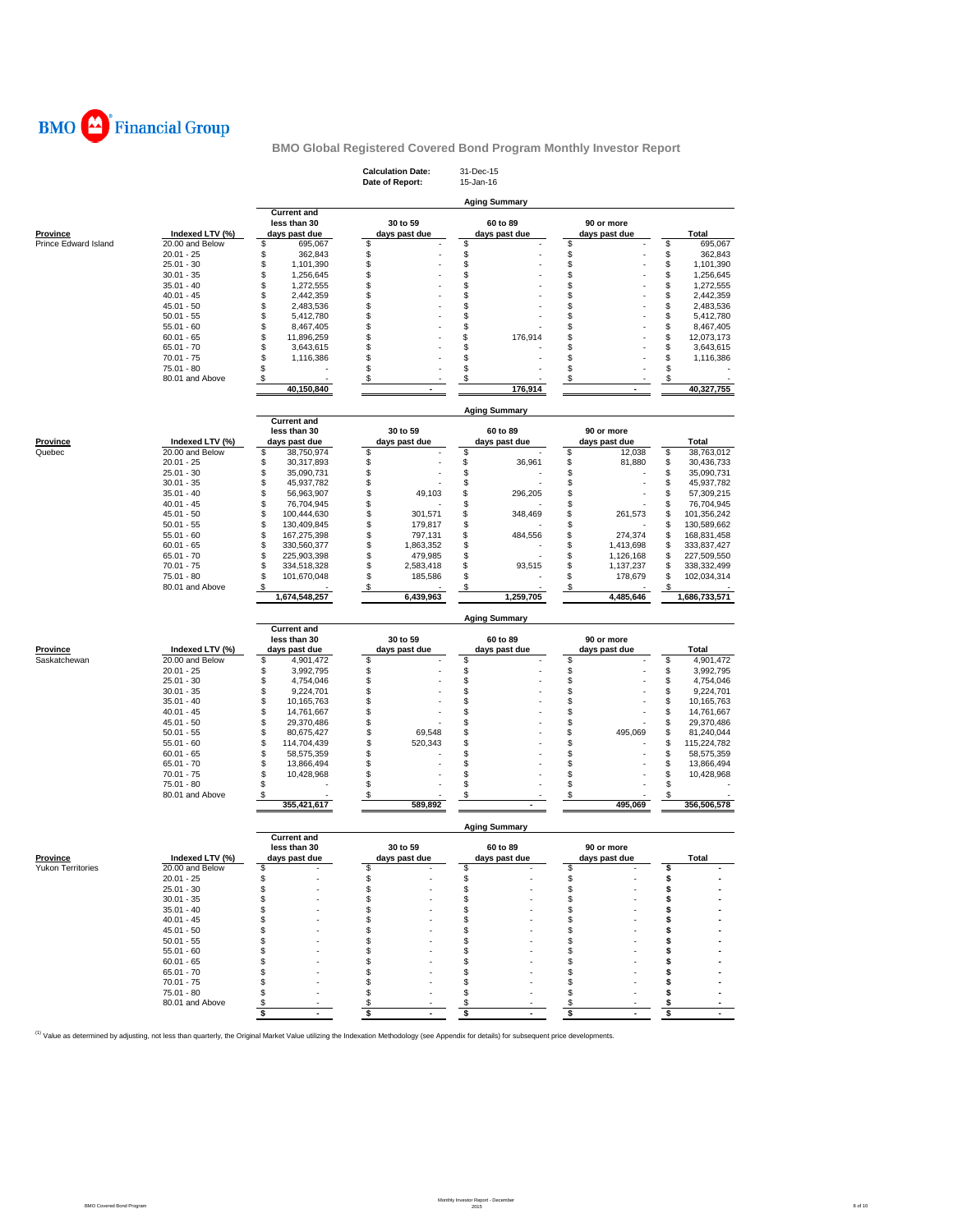

|                                      |                                    |                                        | <b>Calculation Date:</b><br>Date of Report: | 31-Dec-15<br>15-Jan-16    |                                    |                                      |
|--------------------------------------|------------------------------------|----------------------------------------|---------------------------------------------|---------------------------|------------------------------------|--------------------------------------|
|                                      |                                    |                                        |                                             |                           |                                    |                                      |
|                                      |                                    | <b>Current and</b>                     |                                             | <b>Aging Summary</b>      |                                    |                                      |
|                                      |                                    | less than 30                           | 30 to 59                                    | 60 to 89                  | 90 or more                         |                                      |
| <b>Province</b>                      | Indexed LTV (%)                    | days past due                          | days past due                               | days past due             | days past due                      | <b>Total</b>                         |
| Prince Edward Island                 | 20.00 and Below                    | \$<br>695,067                          | \$                                          | \$                        | \$                                 | \$<br>695,067                        |
|                                      | $20.01 - 25$                       | \$<br>362,843                          | \$                                          | \$                        | \$                                 | \$<br>362,843                        |
|                                      | $25.01 - 30$<br>$30.01 - 35$       | \$<br>1,101,390<br>\$<br>1,256,645     | \$<br>\$                                    | \$<br>\$                  | \$<br>\$                           | \$<br>1,101,390<br>S<br>1,256,645    |
|                                      | $35.01 - 40$                       | \$<br>1,272,555                        | \$                                          | \$                        | \$                                 | \$<br>1,272,555                      |
|                                      | $40.01 - 45$                       | \$<br>2,442,359                        | \$                                          | \$                        | \$                                 | S<br>2,442,359                       |
|                                      | $45.01 - 50$                       | \$<br>2,483,536                        | \$                                          | \$                        | \$                                 | \$<br>2,483,536                      |
|                                      | $50.01 - 55$                       | \$<br>5,412,780                        | \$                                          | \$                        | \$                                 | S<br>5,412,780                       |
|                                      | $55.01 - 60$<br>$60.01 - 65$       | \$<br>8,467,405<br>\$<br>11,896,259    | \$<br>\$                                    | \$<br>\$<br>176,914       | \$<br>\$                           | S<br>8,467,405<br>\$<br>12,073,173   |
|                                      | $65.01 - 70$                       | \$<br>3,643,615                        | \$                                          | \$                        | \$                                 | \$<br>3,643,615                      |
|                                      | $70.01 - 75$                       | \$<br>1,116,386                        | \$                                          | \$                        | \$                                 | S<br>1,116,386                       |
|                                      | 75.01 - 80                         | \$                                     | \$                                          | \$                        | \$                                 | \$                                   |
|                                      | 80.01 and Above                    | \$                                     | \$                                          | \$                        | \$                                 | \$                                   |
|                                      |                                    | 40,150,840                             |                                             | 176.914                   |                                    | 40,327,755                           |
|                                      |                                    |                                        |                                             | <b>Aging Summary</b>      |                                    |                                      |
|                                      |                                    | <b>Current and</b><br>less than 30     | 30 to 59                                    | 60 to 89                  | 90 or more                         |                                      |
| Province                             | Indexed LTV (%)                    | days past due                          | days past due                               | days past due             | days past due                      | Total                                |
| Quebec                               | 20.00 and Below                    | \$<br>38,750,974                       | \$                                          | \$                        | \$<br>12,038                       | \$<br>38,763,012                     |
|                                      | $20.01 - 25$                       | \$<br>30,317,893                       | \$                                          | \$<br>36,961              | \$<br>81,880                       | \$<br>30,436,733                     |
|                                      | $25.01 - 30$                       | \$<br>35,090,731                       | \$                                          | \$                        | \$                                 | 35,090,731<br>S                      |
|                                      | $30.01 - 35$                       | \$<br>45,937,782                       | \$                                          | \$                        | \$                                 | S<br>45,937,782                      |
|                                      | $35.01 - 40$<br>$40.01 - 45$       | \$<br>56,963,907<br>\$<br>76,704,945   | \$<br>49,103<br>\$                          | \$<br>296,205<br>\$       | \$<br>\$                           | \$<br>57,309,215<br>S<br>76,704,945  |
|                                      | $45.01 - 50$                       | \$<br>100,444,630                      | \$<br>301,571                               | \$<br>348,469             | \$<br>261,573                      | \$<br>101,356,242                    |
|                                      | $50.01 - 55$                       | \$<br>130,409,845                      | \$<br>179,817                               | \$                        | \$                                 | S<br>130,589,662                     |
|                                      | $55.01 - 60$                       | \$<br>167,275,398                      | \$<br>797,131                               | \$<br>484,556             | \$<br>274,374                      | \$<br>168,831,458                    |
|                                      | $60.01 - 65$                       | \$<br>330,560,377                      | \$<br>1,863,352                             | \$                        | \$<br>1,413,698                    | S<br>333,837,427                     |
|                                      | $65.01 - 70$<br>$70.01 - 75$       | \$<br>225,903,398<br>\$<br>334,518,328 | \$<br>479,985<br>\$<br>2,583,418            | \$<br>\$<br>93.515        | \$<br>1,126,168<br>\$<br>1,137,237 | S<br>227,509,550<br>338,332,499<br>S |
|                                      | 75.01 - 80                         | \$<br>101,670,048                      | \$<br>185,586                               | \$                        | \$<br>178,679                      | \$<br>102,034,314                    |
|                                      | 80.01 and Above                    | \$                                     | \$                                          | \$                        | \$                                 | \$.                                  |
|                                      |                                    | 1,674,548,257                          | 6,439,963                                   | 1,259,705                 | 4,485,646                          | 1,686,733,571                        |
|                                      |                                    |                                        |                                             | Aging Summary             |                                    |                                      |
|                                      |                                    | <b>Current and</b>                     |                                             |                           |                                    |                                      |
| <b>Province</b>                      | Indexed LTV (%)                    | less than 30<br>days past due          | 30 to 59<br>days past due                   | 60 to 89<br>days past due | 90 or more<br>days past due        |                                      |
| Saskatchewan                         |                                    |                                        | \$                                          | \$                        | \$                                 | Total<br>\$<br>4,901,472             |
|                                      |                                    |                                        |                                             |                           |                                    |                                      |
|                                      | 20.00 and Below<br>$20.01 - 25$    | \$<br>4,901,472                        |                                             |                           |                                    |                                      |
|                                      | $25.01 - 30$                       | \$<br>3,992,795<br>\$<br>4,754,046     | \$<br>\$                                    | \$<br>\$                  | \$<br>\$                           | 3,992,795<br>\$<br>\$<br>4,754,046   |
|                                      | $30.01 - 35$                       | \$<br>9,224,701                        | \$                                          | \$                        | \$                                 | \$<br>9,224,701                      |
|                                      | $35.01 - 40$                       | \$<br>10,165,763                       | \$                                          | \$                        | \$                                 | S<br>10,165,763                      |
|                                      | $40.01 - 45$                       | \$<br>14,761,667                       | \$                                          | \$                        | \$                                 | S<br>14,761,667                      |
|                                      | $45.01 - 50$                       | \$<br>29,370,486                       | \$                                          | \$                        | \$                                 | S<br>29,370,486<br>S                 |
|                                      | $50.01 - 55$<br>$55.01 - 60$       | \$<br>80,675,427<br>\$<br>114,704,439  | 69,548<br>\$<br>\$<br>520,343               | \$<br>\$                  | \$<br>495,069<br>\$                | 81,240,044<br>S<br>115,224,782       |
|                                      | $60.01 - 65$                       | \$<br>58,575,359                       | \$                                          | \$                        | \$                                 | S<br>58,575,359                      |
|                                      | $65.01 - 70$                       | \$<br>13,866,494                       | \$                                          | \$                        | \$                                 | S<br>13,866,494                      |
|                                      | $70.01 - 75$                       | \$<br>10,428,968                       | \$                                          | \$                        | \$                                 | \$<br>10,428,968                     |
|                                      | 75.01 - 80<br>80.01 and Above      | \$<br>\$                               | \$<br>\$                                    | \$<br>\$                  | \$<br>\$                           | \$<br>\$                             |
|                                      |                                    | 355,421,617                            | 589,892                                     |                           | 495,069                            | 356,506,578                          |
|                                      |                                    |                                        |                                             | <b>Aging Summary</b>      |                                    |                                      |
|                                      |                                    | <b>Current and</b>                     |                                             |                           |                                    |                                      |
|                                      |                                    | less than 30                           | 30 to 59                                    | 60 to 89                  | 90 or more                         |                                      |
| <b>Province</b><br>Yukon Territories | Indexed LTV (%)<br>20.00 and Below | days past due<br>Ş                     | days past due                               | days past due             | days past due                      | Total                                |
|                                      | $20.01 - 25$                       | \$                                     | \$                                          | \$                        | \$                                 | s                                    |
|                                      | $25.01 - 30$                       | \$                                     | \$                                          | \$                        | \$                                 | \$                                   |
|                                      | $30.01 - 35$                       | \$                                     | \$                                          | \$                        | \$                                 | \$                                   |
|                                      | $35.01 - 40$                       | \$                                     | \$<br>\$                                    | \$                        | \$                                 | \$                                   |
|                                      | $40.01 - 45$<br>$45.01 - 50$       | \$<br>\$                               | \$                                          | \$<br>\$                  | \$<br>\$                           | \$<br>\$                             |
|                                      | $50.01 - 55$                       | \$                                     | S                                           | \$                        | \$                                 | \$                                   |
|                                      | $55.01 - 60$                       | \$                                     | \$                                          | \$                        | \$                                 | s                                    |
|                                      | $60.01 - 65$                       | \$                                     | \$                                          | \$                        | \$                                 | \$                                   |
|                                      | $65.01 - 70$                       | \$                                     | \$                                          | \$                        | \$                                 | \$                                   |
|                                      | 70.01 - 75                         | \$                                     | \$<br>\$                                    | \$                        | \$                                 | \$                                   |
|                                      | 75.01 - 80<br>80.01 and Above      | \$<br>\$<br>\$                         | \$                                          | \$<br>\$<br>\$            | \$<br>\$<br>\$                     | \$<br>\$<br>\$                       |

<sup>(1)</sup> Value as determined by adjusting, not less than quarterly, the Original Market Value utilizing the Indexation Methodology (see Appendix for details) for subsequent price developments.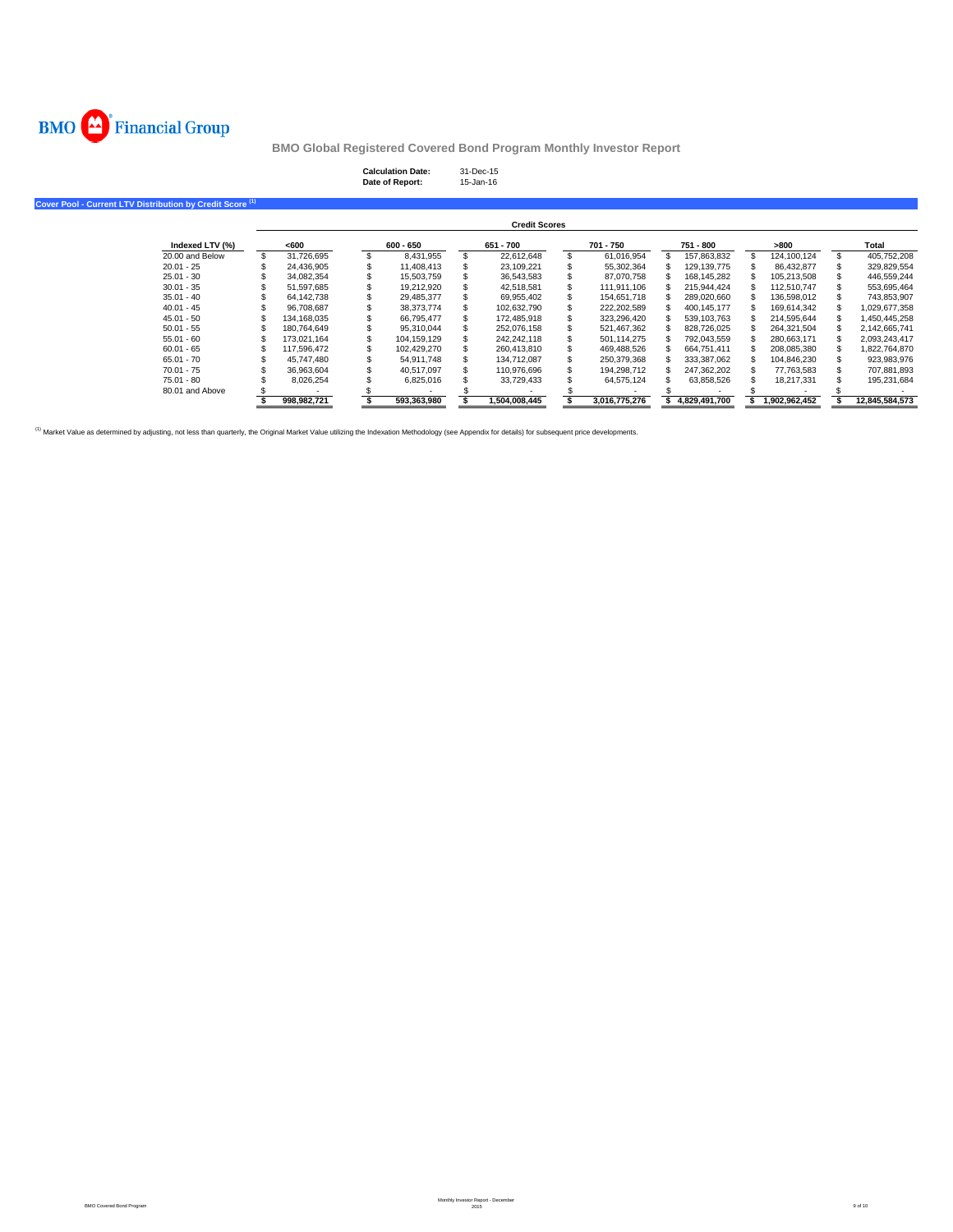

**Calculation Date:** 31-Dec-15 **Date of Report:** 15-Jan-16

**Cover Pool - Current LTV Distribution by Credit Score (1)**

|                 |             |             |     | <b>Credit Scores</b> |   |               |               |               |                |
|-----------------|-------------|-------------|-----|----------------------|---|---------------|---------------|---------------|----------------|
| Indexed LTV (%) | <600        | $600 - 650$ |     | 651 - 700            |   | 701 - 750     | 751 - 800     | >800          | Total          |
| 20,00 and Below | 31.726.695  | 8.431.955   | \$. | 22.612.648           |   | 61.016.954    | 157.863.832   | 124.100.124   | 405.752.208    |
| $20.01 - 25$    | 24.436.905  | 11.408.413  |     | 23.109.221           |   | 55,302,364    | 129.139.775   | 86.432.877    | 329.829.554    |
| $25.01 - 30$    | 34.082.354  | 15.503.759  |     | 36.543.583           |   | 87.070.758    | 168.145.282   | 105.213.508   | 446.559.244    |
| $30.01 - 35$    | 51.597.685  | 19,212,920  |     | 42,518,581           |   | 111.911.106   | 215.944.424   | 112.510.747   | 553,695,464    |
| $35.01 - 40$    | 64.142.738  | 29.485.377  |     | 69.955.402           |   | 154.651.718   | 289.020.660   | 136,598,012   | 743,853,907    |
| $40.01 - 45$    | 96.708.687  | 38.373.774  |     | 102.632.790          | S | 222.202.589   | 400.145.177   | 169.614.342   | 1.029.677.358  |
| $45.01 - 50$    | 134.168.035 | 66.795.477  |     | 172.485.918          |   | 323.296.420   | 539.103.763   | 214.595.644   | 1.450.445.258  |
| $50.01 - 55$    | 180.764.649 | 95.310.044  |     | 252,076,158          |   | 521,467,362   | 828,726,025   | 264,321,504   | 2,142,665,741  |
| $55.01 - 60$    | 173.021.164 | 104.159.129 |     | 242.242.118          |   | 501.114.275   | 792.043.559   | 280.663.171   | 2.093.243.417  |
| $60.01 - 65$    | 117.596.472 | 102.429.270 |     | 260.413.810          |   | 469.488.526   | 664.751.411   | 208.085.380   | 1,822,764,870  |
| $65.01 - 70$    | 45.747.480  | 54.911.748  |     | 134.712.087          |   | 250.379.368   | 333.387.062   | 104.846.230   | 923.983.976    |
| $70.01 - 75$    | 36.963.604  | 40.517.097  |     | 110.976.696          |   | 194.298.712   | 247.362.202   | 77.763.583    | 707.881.893    |
| 75.01 - 80      | 8.026.254   | 6,825,016   |     | 33,729,433           |   | 64,575,124    | 63,858,526    | 18.217.331    | 195,231,684    |
| 80.01 and Above |             |             |     |                      |   |               |               |               |                |
|                 | 998.982.721 | 593.363.980 |     | 1.504.008.445        |   | 3.016.775.276 | 4.829.491.700 | 1.902.962.452 | 12.845.584.573 |

<sup>(1)</sup> Market Value as determined by adjusting, not less than quarterly, the Original Market Value utilizing the Indexation Methodology (see Appendix for details) for subsequent price developments.